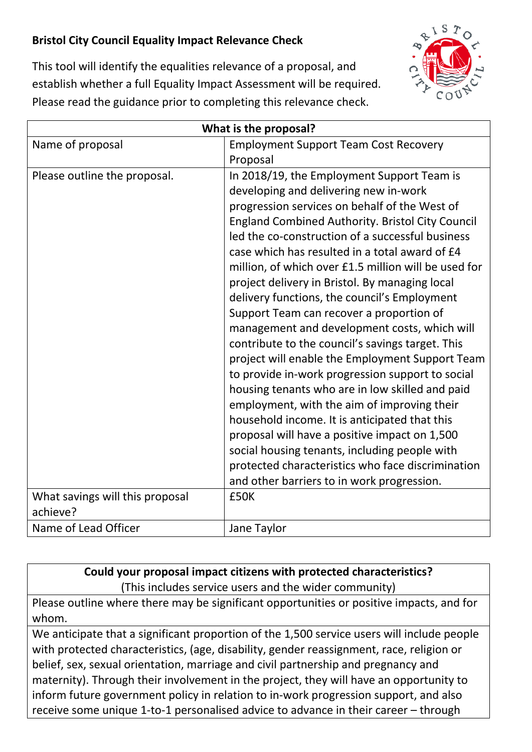## **Bristol City Council Equality Impact Relevance Check**



This tool will identify the equalities relevance of a proposal, and establish whether a full Equality Impact Assessment will be required. Please read the guidance prior to completing this relevance check.

| What is the proposal?           |                                                                                                                                                                                                                                                                                                                                                                                                                                                                                                                                                                                                                                                                                                                                                                                                                                                                                                                                                                                                                                                                                |
|---------------------------------|--------------------------------------------------------------------------------------------------------------------------------------------------------------------------------------------------------------------------------------------------------------------------------------------------------------------------------------------------------------------------------------------------------------------------------------------------------------------------------------------------------------------------------------------------------------------------------------------------------------------------------------------------------------------------------------------------------------------------------------------------------------------------------------------------------------------------------------------------------------------------------------------------------------------------------------------------------------------------------------------------------------------------------------------------------------------------------|
| Name of proposal                | <b>Employment Support Team Cost Recovery</b><br>Proposal                                                                                                                                                                                                                                                                                                                                                                                                                                                                                                                                                                                                                                                                                                                                                                                                                                                                                                                                                                                                                       |
| Please outline the proposal.    | In 2018/19, the Employment Support Team is<br>developing and delivering new in-work<br>progression services on behalf of the West of<br><b>England Combined Authority. Bristol City Council</b><br>led the co-construction of a successful business<br>case which has resulted in a total award of £4<br>million, of which over £1.5 million will be used for<br>project delivery in Bristol. By managing local<br>delivery functions, the council's Employment<br>Support Team can recover a proportion of<br>management and development costs, which will<br>contribute to the council's savings target. This<br>project will enable the Employment Support Team<br>to provide in-work progression support to social<br>housing tenants who are in low skilled and paid<br>employment, with the aim of improving their<br>household income. It is anticipated that this<br>proposal will have a positive impact on 1,500<br>social housing tenants, including people with<br>protected characteristics who face discrimination<br>and other barriers to in work progression. |
| What savings will this proposal | £50K                                                                                                                                                                                                                                                                                                                                                                                                                                                                                                                                                                                                                                                                                                                                                                                                                                                                                                                                                                                                                                                                           |
| achieve?                        |                                                                                                                                                                                                                                                                                                                                                                                                                                                                                                                                                                                                                                                                                                                                                                                                                                                                                                                                                                                                                                                                                |
| Name of Lead Officer            | Jane Taylor                                                                                                                                                                                                                                                                                                                                                                                                                                                                                                                                                                                                                                                                                                                                                                                                                                                                                                                                                                                                                                                                    |

**Could your proposal impact citizens with protected characteristics?** (This includes service users and the wider community)

Please outline where there may be significant opportunities or positive impacts, and for whom.

We anticipate that a significant proportion of the 1,500 service users will include people with protected characteristics, (age, disability, gender reassignment, race, religion or belief, sex, sexual orientation, marriage and civil partnership and pregnancy and maternity). Through their involvement in the project, they will have an opportunity to inform future government policy in relation to in-work progression support, and also receive some unique 1-to-1 personalised advice to advance in their career – through